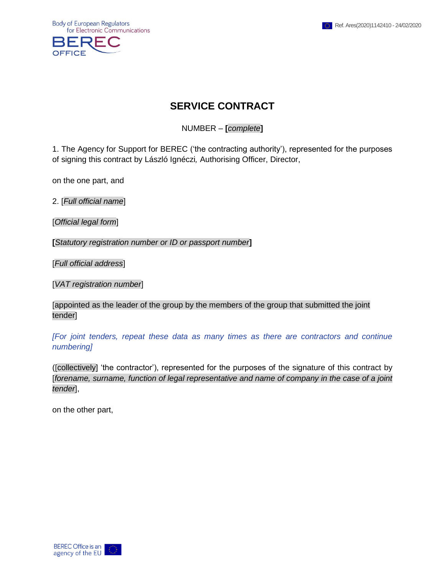**Body of European Regulators** for Electronic Communications



# **SERVICE CONTRACT**

NUMBER – **[***complete***]**

<span id="page-0-0"></span>1. The Agency for Support for BEREC ('the contracting authority'), represented for the purposes of signing this contract by László Ignéczi*,* Authorising Officer, Director,

on the one part, and

2. [*Full official name*]

[*Official legal form*]

**[***Statutory registration number or ID or passport number***]**

[*Full official address*]

[*VAT registration number*]

[appointed as the leader of the group by the members of the group that submitted the joint tender]

*[For joint tenders, repeat these data as many times as there are contractors and continue numbering]*

([collectively] 'the contractor'), represented for the purposes of the signature of this contract by [*forename, surname, function of legal representative and name of company in the case of a joint tender*],

on the other part,

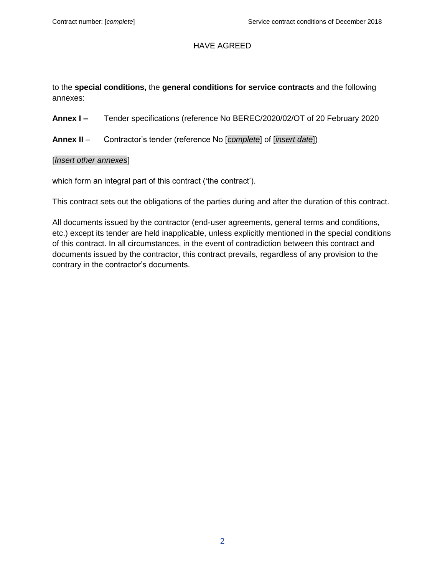## HAVE AGREED

to the **special conditions,** the **general conditions for service contracts** and the following annexes:

- **Annex I –** Tender specifications (reference No BEREC/2020/02/OT of 20 February 2020
- **Annex II** Contractor's tender (reference No [*complete*] of [*insert date*])

[*Insert other annexes*]

which form an integral part of this contract ('the contract').

This contract sets out the obligations of the parties during and after the duration of this contract.

All documents issued by the contractor (end-user agreements, general terms and conditions, etc.) except its tender are held inapplicable, unless explicitly mentioned in the special conditions of this contract. In all circumstances, in the event of contradiction between this contract and documents issued by the contractor, this contract prevails, regardless of any provision to the contrary in the contractor's documents.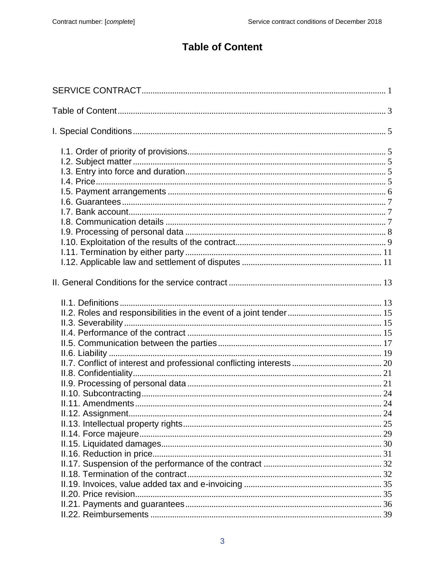# **Table of Content**

<span id="page-2-0"></span>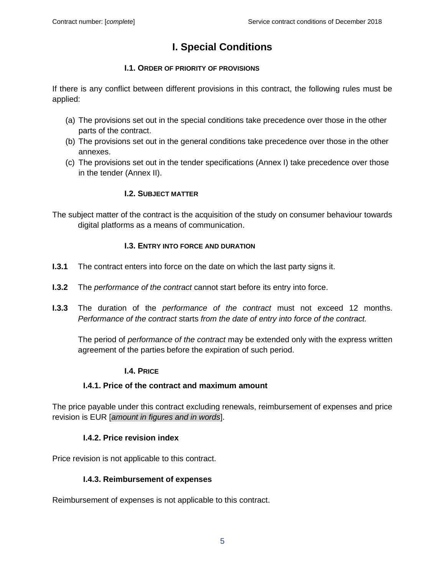# **I. Special Conditions**

## **I.1. ORDER OF PRIORITY OF PROVISIONS**

<span id="page-4-1"></span><span id="page-4-0"></span>If there is any conflict between different provisions in this contract, the following rules must be applied:

- (a) The provisions set out in the special conditions take precedence over those in the other parts of the contract.
- (b) The provisions set out in the general conditions take precedence over those in the other annexes.
- (c) The provisions set out in the tender specifications (Annex I) take precedence over those in the tender (Annex II).

## **I.2. SUBJECT MATTER**

<span id="page-4-2"></span>The subject matter of the contract is the acquisition of the study on consumer behaviour towards digital platforms as a means of communication.

## **I.3. ENTRY INTO FORCE AND DURATION**

- <span id="page-4-3"></span>**I.3.1** The contract enters into force on the date on which the last party signs it.
- **I.3.2** The *performance of the contract* cannot start before its entry into force.
- **I.3.3** The duration of the *performance of the contract* must not exceed 12 months. *Performance of the contract* starts *from the date of entry into force of the contract.*

The period of *performance of the contract* may be extended only with the express written agreement of the parties before the expiration of such period.

#### **I.4. PRICE**

#### <span id="page-4-4"></span>**I.4.1. Price of the contract and maximum amount**

The price payable under this contract excluding renewals, reimbursement of expenses and price revision is EUR [*amount in figures and in words*].

# **I.4.2. Price revision index**

Price revision is not applicable to this contract.

# **I.4.3. Reimbursement of expenses**

Reimbursement of expenses is not applicable to this contract.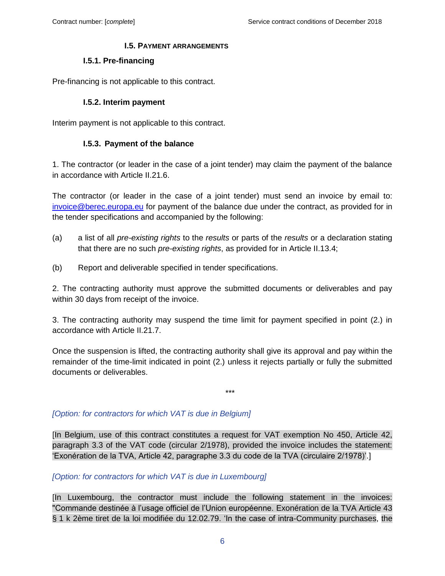#### **I.5. PAYMENT ARRANGEMENTS**

#### <span id="page-5-0"></span>**I.5.1. Pre-financing**

Pre-financing is not applicable to this contract.

#### **I.5.2. Interim payment**

Interim payment is not applicable to this contract.

#### **I.5.3. Payment of the balance**

1. The contractor (or leader in the case of a joint tender) may claim the payment of the balance in accordance with Article II.21.6.

The contractor (or leader in the case of a joint tender) must send an invoice by email to: [invoice@berec.europa.eu](mailto:invoice@berec.europa.eu) for payment of the balance due under the contract, as provided for in the tender specifications and accompanied by the following:

- (a) a list of all *pre-existing rights* to the *results* or parts of the *results* or a declaration stating that there are no such *pre-existing rights*, as provided for in Article II.13.4;
- (b) Report and deliverable specified in tender specifications.

2. The contracting authority must approve the submitted documents or deliverables and pay within 30 days from receipt of the invoice.

3. The contracting authority may suspend the time limit for payment specified in point (2.) in accordance with Article II.21.7.

Once the suspension is lifted, the contracting authority shall give its approval and pay within the remainder of the time-limit indicated in point (2.) unless it rejects partially or fully the submitted documents or deliverables.

\*\*\*

# *[Option: for contractors for which VAT is due in Belgium]*

[In Belgium, use of this contract constitutes a request for VAT exemption No 450, Article 42, paragraph 3.3 of the VAT code (circular 2/1978), provided the invoice includes the statement: 'Exonération de la TVA, Article 42, paragraphe 3.3 du code de la TVA (circulaire 2/1978)'.]

#### *[Option: for contractors for which VAT is due in Luxembourg]*

[In Luxembourg, the contractor must include the following statement in the invoices: "Commande destinée à l'usage officiel de l'Union européenne. Exonération de la TVA Article 43 § 1 k 2ème tiret de la loi modifiée du 12.02.79. 'In the case of intra-Community purchases, the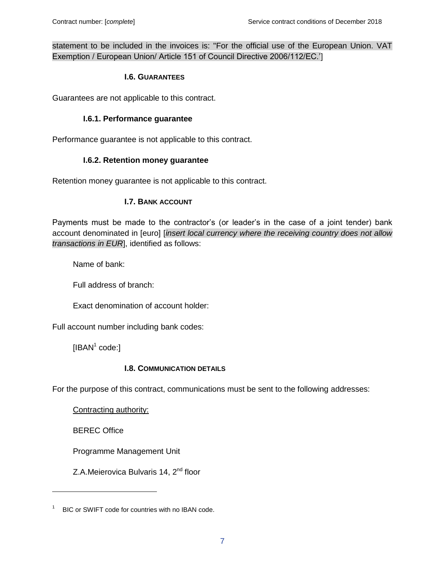statement to be included in the invoices is: "For the official use of the European Union. VAT Exemption / European Union/ Article 151 of Council Directive 2006/112/EC.']

#### **I.6. GUARANTEES**

<span id="page-6-0"></span>Guarantees are not applicable to this contract.

#### **I.6.1. Performance guarantee**

Performance guarantee is not applicable to this contract.

#### **I.6.2. Retention money guarantee**

Retention money guarantee is not applicable to this contract.

#### **I.7. BANK ACCOUNT**

<span id="page-6-1"></span>Payments must be made to the contractor's (or leader's in the case of a joint tender) bank account denominated in [euro] [*insert local currency where the receiving country does not allow transactions in EUR*], identified as follows:

Name of bank:

Full address of branch:

Exact denomination of account holder:

Full account number including bank codes:

 $[IBAN<sup>1</sup> code.]$ 

#### **I.8. COMMUNICATION DETAILS**

<span id="page-6-2"></span>For the purpose of this contract, communications must be sent to the following addresses:

Contracting authority:

BEREC Office

 $\overline{a}$ 

Programme Management Unit

Z.A.Meierovica Bulvaris 14, 2<sup>nd</sup> floor

<sup>1</sup> BIC or SWIFT code for countries with no IBAN code.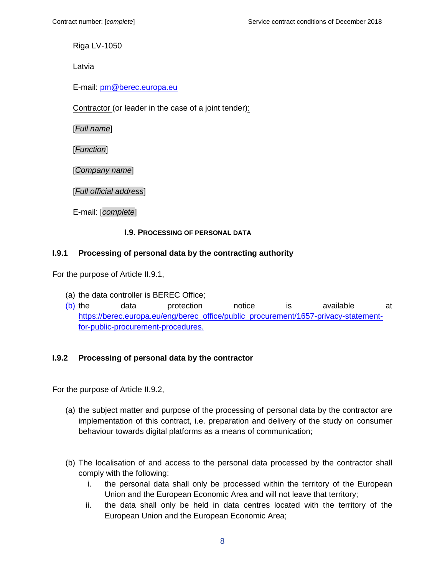Riga LV-1050

Latvia

E-mail: [pm@berec.europa.eu](mailto:pm@berec.europa.eu)

Contractor (or leader in the case of a joint tender):

[*Full name*]

[*Function*]

[*Company name*]

[*Full official address*]

E-mail: [*complete*]

#### **I.9. PROCESSING OF PERSONAL DATA**

#### <span id="page-7-0"></span>**I.9.1 Processing of personal data by the contracting authority**

For the purpose of Article II.9.1,

- (a) the data controller is BEREC Office;
- (b) the data protection notice is available at [https://berec.europa.eu/eng/berec\\_office/public\\_procurement/1657-privacy-statement](https://berec.europa.eu/eng/berec_office/public_procurement/1657-privacy-statement-for-public-procurement-procedures)[for-public-procurement-procedures.](https://berec.europa.eu/eng/berec_office/public_procurement/1657-privacy-statement-for-public-procurement-procedures)

#### **I.9.2 Processing of personal data by the contractor**

For the purpose of Article II.9.2,

- (a) the subject matter and purpose of the processing of personal data by the contractor are implementation of this contract, i.e. preparation and delivery of the study on consumer behaviour towards digital platforms as a means of communication;
- (b) The localisation of and access to the personal data processed by the contractor shall comply with the following:
	- i. the personal data shall only be processed within the territory of the European Union and the European Economic Area and will not leave that territory;
	- ii. the data shall only be held in data centres located with the territory of the European Union and the European Economic Area;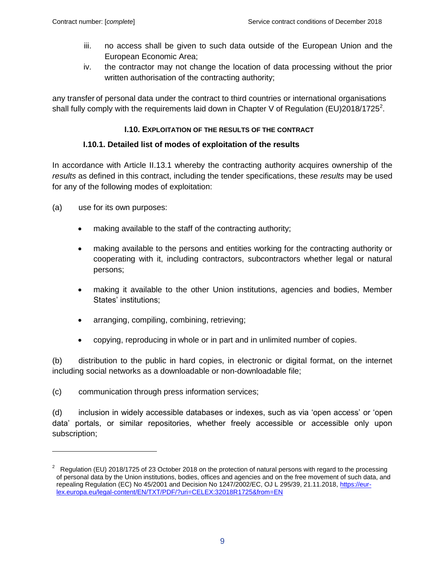- iii. no access shall be given to such data outside of the European Union and the European Economic Area;
- iv. the contractor may not change the location of data processing without the prior written authorisation of the contracting authority;

<span id="page-8-0"></span>any transfer of personal data under the contract to third countries or international organisations shall fully comply with the requirements laid down in Chapter V of Regulation (EU)2018/1725<sup>2</sup>.

# **I.10. EXPLOITATION OF THE RESULTS OF THE CONTRACT**

# **I.10.1. Detailed list of modes of exploitation of the results**

In accordance with Article II.13.1 whereby the contracting authority acquires ownership of the *results* as defined in this contract, including the tender specifications, these *results* may be used for any of the following modes of exploitation:

(a) use for its own purposes:

 $\overline{a}$ 

- making available to the staff of the contracting authority;
- making available to the persons and entities working for the contracting authority or cooperating with it, including contractors, subcontractors whether legal or natural persons;
- making it available to the other Union institutions, agencies and bodies, Member States' institutions;
- arranging, compiling, combining, retrieving;
- copying, reproducing in whole or in part and in unlimited number of copies.

(b) distribution to the public in hard copies, in electronic or digital format, on the internet including social networks as a downloadable or non-downloadable file;

(c) communication through press information services;

(d) inclusion in widely accessible databases or indexes, such as via 'open access' or 'open data' portals, or similar repositories, whether freely accessible or accessible only upon subscription;

<sup>&</sup>lt;sup>2</sup> Regulation (EU) 2018/1725 of 23 October 2018 on the protection of natural persons with regard to the processing of personal data by the Union institutions, bodies, offices and agencies and on the free movement of such data, and repealing Regulation (EC) No 45/2001 and Decision No 1247/2002/EC, OJ L 295/39, 21.11.2018, [https://eur](https://eur-lex.europa.eu/legal-content/EN/TXT/PDF/?uri=CELEX:32018R1725&from=EN)[lex.europa.eu/legal-content/EN/TXT/PDF/?uri=CELEX:32018R1725&from=EN](https://eur-lex.europa.eu/legal-content/EN/TXT/PDF/?uri=CELEX:32018R1725&from=EN)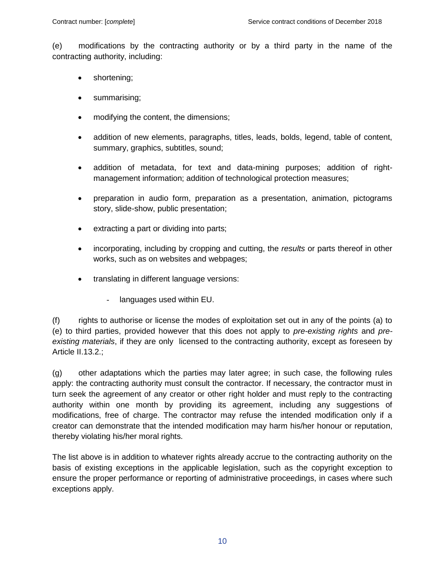(e) modifications by the contracting authority or by a third party in the name of the contracting authority, including:

- shortening;
- summarising;
- modifying the content, the dimensions;
- addition of new elements, paragraphs, titles, leads, bolds, legend, table of content, summary, graphics, subtitles, sound;
- addition of metadata, for text and data-mining purposes; addition of rightmanagement information; addition of technological protection measures;
- preparation in audio form, preparation as a presentation, animation, pictograms story, slide-show, public presentation;
- extracting a part or dividing into parts;
- incorporating, including by cropping and cutting, the *results* or parts thereof in other works, such as on websites and webpages;
- translating in different language versions:
	- languages used within EU.

(f) rights to authorise or license the modes of exploitation set out in any of the points (a) to (e) to third parties, provided however that this does not apply to *pre-existing rights* and *preexisting materials*, if they are only licensed to the contracting authority, except as foreseen by Article II.13.2.;

(g) other adaptations which the parties may later agree; in such case, the following rules apply: the contracting authority must consult the contractor. If necessary, the contractor must in turn seek the agreement of any creator or other right holder and must reply to the contracting authority within one month by providing its agreement, including any suggestions of modifications, free of charge. The contractor may refuse the intended modification only if a creator can demonstrate that the intended modification may harm his/her honour or reputation, thereby violating his/her moral rights.

The list above is in addition to whatever rights already accrue to the contracting authority on the basis of existing exceptions in the applicable legislation, such as the copyright exception to ensure the proper performance or reporting of administrative proceedings, in cases where such exceptions apply.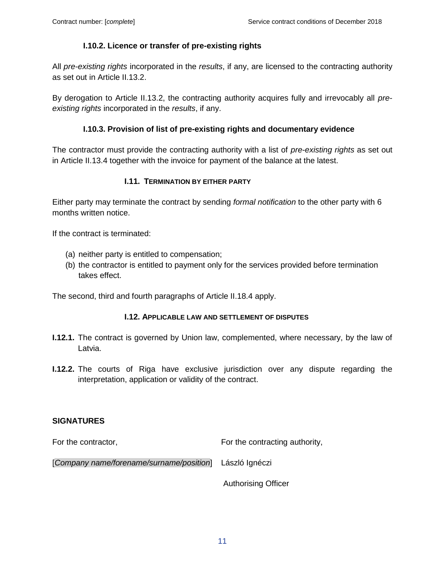### **I.10.2. Licence or transfer of pre-existing rights**

All *pre-existing rights* incorporated in the *results*, if any, are licensed to the contracting authority as set out in Article II.13.2.

By derogation to Article II.13.2, the contracting authority acquires fully and irrevocably all *preexisting rights* incorporated in the *results*, if any.

### **I.10.3. Provision of list of pre-existing rights and documentary evidence**

The contractor must provide the contracting authority with a list of *pre-existing rights* as set out in Article II.13.4 together with the invoice for payment of the balance at the latest.

#### <span id="page-10-0"></span>**I.11. TERMINATION BY EITHER PARTY**

Either party may terminate the contract by sending *formal notification* to the other party with 6 months written notice.

If the contract is terminated:

- (a) neither party is entitled to compensation;
- (b) the contractor is entitled to payment only for the services provided before termination takes effect.

The second, third and fourth paragraphs of Article II.18.4 apply.

#### **I.12. APPLICABLE LAW AND SETTLEMENT OF DISPUTES**

- <span id="page-10-1"></span>**I.12.1.** The contract is governed by Union law, complemented, where necessary, by the law of Latvia.
- **I.12.2.** The courts of Riga have exclusive jurisdiction over any dispute regarding the interpretation, application or validity of the contract.

#### **SIGNATURES**

For the contractor, For the contracting authority,

[*Company name/forename/surname/position*] László Ignéczi

Authorising Officer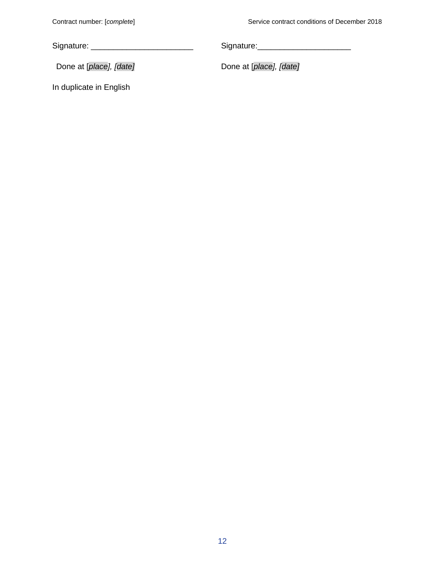Contract number: [*complete*] Service contract conditions of December 2018

| Signature: |  |  |  |
|------------|--|--|--|
|------------|--|--|--|

Signature:\_\_\_\_\_\_\_\_\_\_\_\_\_\_\_\_\_\_\_\_\_

Done at [*place], [date]* Done at [*place], [date*] Done at [*place], [date]*

In duplicate in English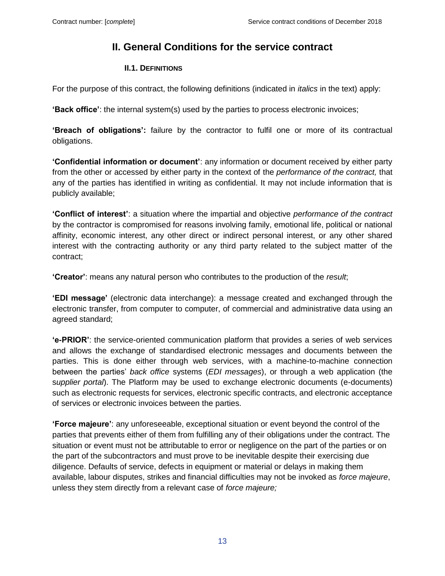# **II. General Conditions for the service contract**

### **II.1. DEFINITIONS**

<span id="page-12-1"></span><span id="page-12-0"></span>For the purpose of this contract, the following definitions (indicated in *italics* in the text) apply:

**'Back office'**: the internal system(s) used by the parties to process electronic invoices;

**'Breach of obligations':** failure by the contractor to fulfil one or more of its contractual obligations.

**'Confidential information or document'**: any information or document received by either party from the other or accessed by either party in the context of the *performance of the contract,* that any of the parties has identified in writing as confidential. It may not include information that is publicly available;

**'Conflict of interest'**: a situation where the impartial and objective *performance of the contract*  by the contractor is compromised for reasons involving family, emotional life, political or national affinity, economic interest, any other direct or indirect personal interest, or any other shared interest with the contracting authority or any third party related to the subject matter of the contract;

**'Creator'**: means any natural person who contributes to the production of the *result*;

**'EDI message'** (electronic data interchange): a message created and exchanged through the electronic transfer, from computer to computer, of commercial and administrative data using an agreed standard;

**'e-PRIOR'**: the service-oriented communication platform that provides a series of web services and allows the exchange of standardised electronic messages and documents between the parties. This is done either through web services, with a machine-to-machine connection between the parties' *back office* systems (*EDI messages*), or through a web application (the s*upplier portal*). The Platform may be used to exchange electronic documents (e-documents) such as electronic requests for services, electronic specific contracts, and electronic acceptance of services or electronic invoices between the parties.

**'Force majeure'**: any unforeseeable, exceptional situation or event beyond the control of the parties that prevents either of them from fulfilling any of their obligations under the contract. The situation or event must not be attributable to error or negligence on the part of the parties or on the part of the subcontractors and must prove to be inevitable despite their exercising due diligence. Defaults of service, defects in equipment or material or delays in making them available, labour disputes, strikes and financial difficulties may not be invoked as *force majeure*, unless they stem directly from a relevant case of *force majeure;*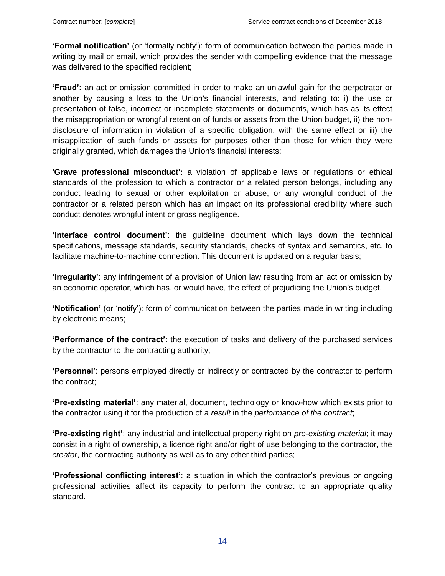**'Formal notification'** (or 'formally notify'): form of communication between the parties made in writing by mail or email, which provides the sender with compelling evidence that the message was delivered to the specified recipient;

**'Fraud':** an act or omission committed in order to make an unlawful gain for the perpetrator or another by causing a loss to the Union's financial interests, and relating to: i) the use or presentation of false, incorrect or incomplete statements or documents, which has as its effect the misappropriation or wrongful retention of funds or assets from the Union budget, ii) the nondisclosure of information in violation of a specific obligation, with the same effect or iii) the misapplication of such funds or assets for purposes other than those for which they were originally granted, which damages the Union's financial interests;

**'Grave professional misconduct':** a violation of applicable laws or regulations or ethical standards of the profession to which a contractor or a related person belongs, including any conduct leading to sexual or other exploitation or abuse, or any wrongful conduct of the contractor or a related person which has an impact on its professional credibility where such conduct denotes wrongful intent or gross negligence.

**'Interface control document'**: the guideline document which lays down the technical specifications, message standards, security standards, checks of syntax and semantics, etc. to facilitate machine-to-machine connection. This document is updated on a regular basis;

**'Irregularity'**: any infringement of a provision of Union law resulting from an act or omission by an economic operator, which has, or would have, the effect of prejudicing the Union's budget.

**'Notification'** (or 'notify'): form of communication between the parties made in writing including by electronic means;

**'Performance of the contract'**: the execution of tasks and delivery of the purchased services by the contractor to the contracting authority;

**'Personnel'**: persons employed directly or indirectly or contracted by the contractor to perform the contract;

**'Pre-existing material'**: any material, document, technology or know-how which exists prior to the contractor using it for the production of a *result* in the *performance of the contract*;

**'Pre-existing right'**: any industrial and intellectual property right on *pre-existing material*; it may consist in a right of ownership, a licence right and/or right of use belonging to the contractor, the *creator*, the contracting authority as well as to any other third parties;

**'Professional conflicting interest'**: a situation in which the contractor's previous or ongoing professional activities affect its capacity to perform the contract to an appropriate quality standard.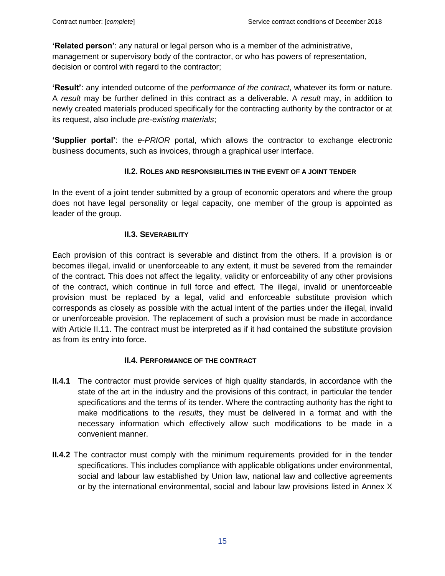**'Related person'**: any natural or legal person who is a member of the administrative, management or supervisory body of the contractor, or who has powers of representation, decision or control with regard to the contractor;

**'Result'**: any intended outcome of the *performance of the contract*, whatever its form or nature. A *result* may be further defined in this contract as a deliverable. A *result* may, in addition to newly created materials produced specifically for the contracting authority by the contractor or at its request, also include *pre-existing materials*;

**'Supplier portal'**: the *e-PRIOR* portal, which allows the contractor to exchange electronic business documents, such as invoices, through a graphical user interface.

## **II.2. ROLES AND RESPONSIBILITIES IN THE EVENT OF A JOINT TENDER**

<span id="page-14-0"></span>In the event of a joint tender submitted by a group of economic operators and where the group does not have legal personality or legal capacity, one member of the group is appointed as leader of the group.

## **II.3. SEVERABILITY**

<span id="page-14-1"></span>Each provision of this contract is severable and distinct from the others. If a provision is or becomes illegal, invalid or unenforceable to any extent, it must be severed from the remainder of the contract. This does not affect the legality, validity or enforceability of any other provisions of the contract, which continue in full force and effect. The illegal, invalid or unenforceable provision must be replaced by a legal, valid and enforceable substitute provision which corresponds as closely as possible with the actual intent of the parties under the illegal, invalid or unenforceable provision. The replacement of such a provision must be made in accordance with Article II.11. The contract must be interpreted as if it had contained the substitute provision as from its entry into force.

#### **II.4. PERFORMANCE OF THE CONTRACT**

- <span id="page-14-2"></span>**II.4.1** The contractor must provide services of high quality standards, in accordance with the state of the art in the industry and the provisions of this contract, in particular the tender specifications and the terms of its tender. Where the contracting authority has the right to make modifications to the *results*, they must be delivered in a format and with the necessary information which effectively allow such modifications to be made in a convenient manner.
- **II.4.2** The contractor must comply with the minimum requirements provided for in the tender specifications. This includes compliance with applicable obligations under environmental, social and labour law established by Union law, national law and collective agreements or by the international environmental, social and labour law provisions listed in Annex X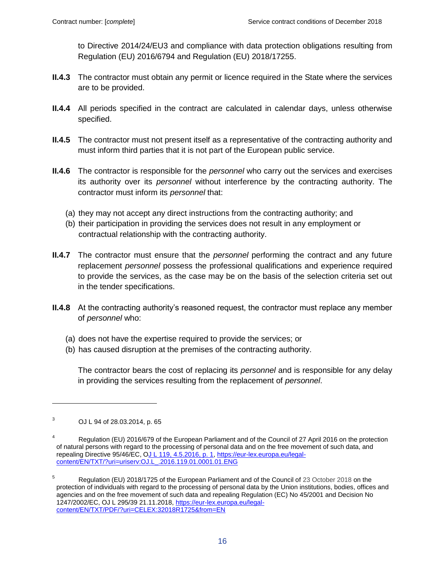to Directive 2014/24/EU3 and compliance with data protection obligations resulting from Regulation (EU) 2016/6794 and Regulation (EU) 2018/17255.

- **II.4.3** The contractor must obtain any permit or licence required in the State where the services are to be provided.
- **II.4.4** All periods specified in the contract are calculated in calendar days, unless otherwise specified.
- **II.4.5** The contractor must not present itself as a representative of the contracting authority and must inform third parties that it is not part of the European public service.
- **II.4.6** The contractor is responsible for the *personnel* who carry out the services and exercises its authority over its *personnel* without interference by the contracting authority. The contractor must inform its *personnel* that:
	- (a) they may not accept any direct instructions from the contracting authority; and
	- (b) their participation in providing the services does not result in any employment or contractual relationship with the contracting authority.
- **II.4.7** The contractor must ensure that the *personnel* performing the contract and any future replacement *personnel* possess the professional qualifications and experience required to provide the services, as the case may be on the basis of the selection criteria set out in the tender specifications.
- **II.4.8** At the contracting authority's reasoned request, the contractor must replace any member of *personnel* who:
	- (a) does not have the expertise required to provide the services; or
	- (b) has caused disruption at the premises of the contracting authority.

The contractor bears the cost of replacing its *personnel* and is responsible for any delay in providing the services resulting from the replacement of *personnel*.

 $\overline{a}$ 

 $3$  OJ L 94 of 28.03.2014, p. 65

<sup>&</sup>lt;sup>4</sup> Regulation (EU) 2016/679 of the European Parliament and of the Council of 27 April 2016 on the protection of natural persons with regard to the processing of personal data and on the free movement of such data, and repealing Directive 95/46/EC, [OJ L 119, 4.5.2016, p. 1,](https://eur-lex.europa.eu/legal-content/EN/TXT/PDF/?uri=CELEX:32016R0679&qid=1543923024903&from=EN) [https://eur-lex.europa.eu/legal](https://eur-lex.europa.eu/legal-content/EN/TXT/?uri=uriserv:OJ.L_.2016.119.01.0001.01.ENG)[content/EN/TXT/?uri=uriserv:OJ.L\\_.2016.119.01.0001.01.ENG](https://eur-lex.europa.eu/legal-content/EN/TXT/?uri=uriserv:OJ.L_.2016.119.01.0001.01.ENG)

<sup>&</sup>lt;sup>5</sup> Regulation (EU) 2018/1725 of the European Parliament and of the Council of 23 October 2018 on the protection of individuals with regard to the processing of personal data by the Union institutions, bodies, offices and agencies and on the free movement of such data and repealing Regulation (EC) No 45/2001 and Decision No 1247/2002/EC, OJ L 295/39 21.11.2018, [https://eur-lex.europa.eu/legal](https://eur-lex.europa.eu/legal-content/EN/TXT/PDF/?uri=CELEX:32018R1725&from=EN)[content/EN/TXT/PDF/?uri=CELEX:32018R1725&from=EN](https://eur-lex.europa.eu/legal-content/EN/TXT/PDF/?uri=CELEX:32018R1725&from=EN)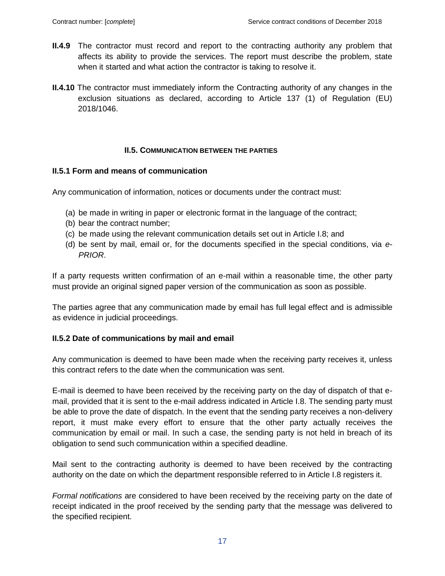- **II.4.9** The contractor must record and report to the contracting authority any problem that affects its ability to provide the services. The report must describe the problem, state when it started and what action the contractor is taking to resolve it.
- **II.4.10** The contractor must immediately inform the Contracting authority of any changes in the exclusion situations as declared, according to Article 137 (1) of Regulation (EU) 2018/1046.

#### **II.5. COMMUNICATION BETWEEN THE PARTIES**

#### <span id="page-16-0"></span>**II.5.1 Form and means of communication**

Any communication of information, notices or documents under the contract must:

- (a) be made in writing in paper or electronic format in the language of the contract;
- (b) bear the contract number;
- (c) be made using the relevant communication details set out in Article I.8; and
- (d) be sent by mail, email or, for the documents specified in the special conditions, via *e-PRIOR*.

If a party requests written confirmation of an e-mail within a reasonable time, the other party must provide an original signed paper version of the communication as soon as possible.

The parties agree that any communication made by email has full legal effect and is admissible as evidence in judicial proceedings.

#### **II.5.2 Date of communications by mail and email**

Any communication is deemed to have been made when the receiving party receives it, unless this contract refers to the date when the communication was sent.

E-mail is deemed to have been received by the receiving party on the day of dispatch of that email, provided that it is sent to the e-mail address indicated in Article I.8. The sending party must be able to prove the date of dispatch. In the event that the sending party receives a non-delivery report, it must make every effort to ensure that the other party actually receives the communication by email or mail. In such a case, the sending party is not held in breach of its obligation to send such communication within a specified deadline.

Mail sent to the contracting authority is deemed to have been received by the contracting authority on the date on which the department responsible referred to in Article I.8 registers it.

*Formal notifications* are considered to have been received by the receiving party on the date of receipt indicated in the proof received by the sending party that the message was delivered to the specified recipient.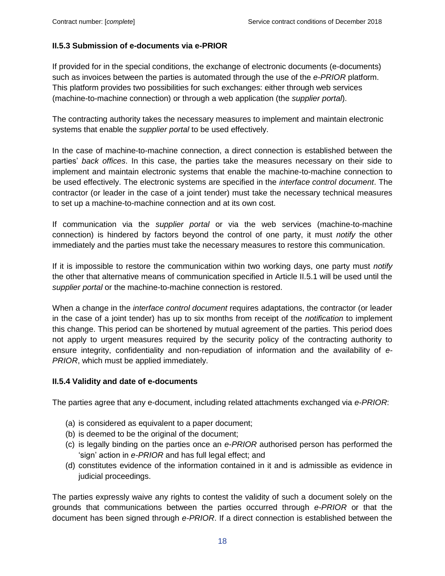## **II.5.3 Submission of e-documents via e-PRIOR**

If provided for in the special conditions, the exchange of electronic documents (e-documents) such as invoices between the parties is automated through the use of the *e-PRIOR* platform. This platform provides two possibilities for such exchanges: either through web services (machine-to-machine connection) or through a web application (the *supplier portal*).

The contracting authority takes the necessary measures to implement and maintain electronic systems that enable the *supplier portal* to be used effectively.

In the case of machine-to-machine connection, a direct connection is established between the parties' *back offices*. In this case, the parties take the measures necessary on their side to implement and maintain electronic systems that enable the machine-to-machine connection to be used effectively. The electronic systems are specified in the *interface control document*. The contractor (or leader in the case of a joint tender) must take the necessary technical measures to set up a machine-to-machine connection and at its own cost.

If communication via the *supplier portal* or via the web services (machine-to-machine connection) is hindered by factors beyond the control of one party, it must *notify* the other immediately and the parties must take the necessary measures to restore this communication.

If it is impossible to restore the communication within two working days, one party must *notify* the other that alternative means of communication specified in Article II.5.1 will be used until the *supplier portal* or the machine-to-machine connection is restored.

When a change in the *interface control document* requires adaptations, the contractor (or leader in the case of a joint tender) has up to six months from receipt of the *notification* to implement this change. This period can be shortened by mutual agreement of the parties. This period does not apply to urgent measures required by the security policy of the contracting authority to ensure integrity, confidentiality and non-repudiation of information and the availability of *e-PRIOR*, which must be applied immediately.

#### **II.5.4 Validity and date of e-documents**

The parties agree that any e-document, including related attachments exchanged via *e-PRIOR*:

- (a) is considered as equivalent to a paper document;
- (b) is deemed to be the original of the document;
- (c) is legally binding on the parties once an *e-PRIOR* authorised person has performed the 'sign' action in *e-PRIOR* and has full legal effect; and
- (d) constitutes evidence of the information contained in it and is admissible as evidence in judicial proceedings.

The parties expressly waive any rights to contest the validity of such a document solely on the grounds that communications between the parties occurred through *e-PRIOR* or that the document has been signed through *e-PRIOR*. If a direct connection is established between the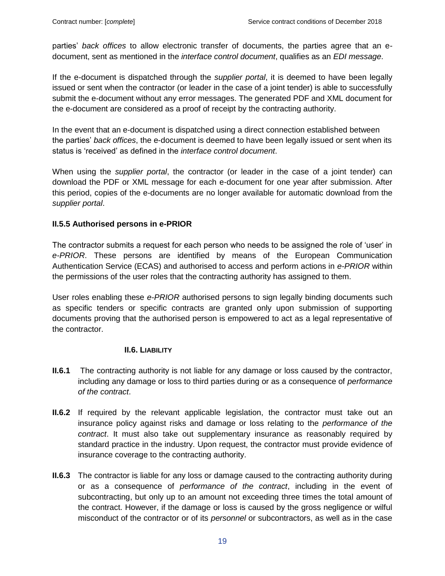parties' *back offices* to allow electronic transfer of documents, the parties agree that an edocument, sent as mentioned in the *interface control document*, qualifies as an *EDI message*.

If the e-document is dispatched through the *supplier portal*, it is deemed to have been legally issued or sent when the contractor (or leader in the case of a joint tender) is able to successfully submit the e-document without any error messages. The generated PDF and XML document for the e-document are considered as a proof of receipt by the contracting authority.

In the event that an e-document is dispatched using a direct connection established between the parties' *back offices*, the e-document is deemed to have been legally issued or sent when its status is 'received' as defined in the *interface control document*.

When using the *supplier portal*, the contractor (or leader in the case of a joint tender) can download the PDF or XML message for each e-document for one year after submission. After this period, copies of the e-documents are no longer available for automatic download from the *supplier portal*.

## **II.5.5 Authorised persons in e-PRIOR**

The contractor submits a request for each person who needs to be assigned the role of 'user' in *e-PRIOR*. These persons are identified by means of the European Communication Authentication Service (ECAS) and authorised to access and perform actions in *e-PRIOR* within the permissions of the user roles that the contracting authority has assigned to them.

User roles enabling these *e-PRIOR* authorised persons to sign legally binding documents such as specific tenders or specific contracts are granted only upon submission of supporting documents proving that the authorised person is empowered to act as a legal representative of the contractor.

#### **II.6. LIABILITY**

- <span id="page-18-0"></span>**II.6.1** The contracting authority is not liable for any damage or loss caused by the contractor, including any damage or loss to third parties during or as a consequence of *performance of the contract*.
- **II.6.2** If required by the relevant applicable legislation, the contractor must take out an insurance policy against risks and damage or loss relating to the *performance of the contract*. It must also take out supplementary insurance as reasonably required by standard practice in the industry. Upon request, the contractor must provide evidence of insurance coverage to the contracting authority.
- **II.6.3** The contractor is liable for any loss or damage caused to the contracting authority during or as a consequence of *performance of the contract*, including in the event of subcontracting, but only up to an amount not exceeding three times the total amount of the contract. However, if the damage or loss is caused by the gross negligence or wilful misconduct of the contractor or of its *personnel* or subcontractors, as well as in the case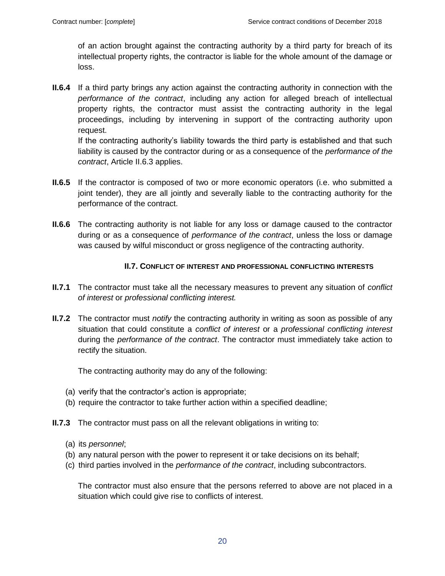of an action brought against the contracting authority by a third party for breach of its intellectual property rights, the contractor is liable for the whole amount of the damage or loss.

**II.6.4** If a third party brings any action against the contracting authority in connection with the *performance of the contract*, including any action for alleged breach of intellectual property rights, the contractor must assist the contracting authority in the legal proceedings, including by intervening in support of the contracting authority upon request.

If the contracting authority's liability towards the third party is established and that such liability is caused by the contractor during or as a consequence of the *performance of the contract*, Article II.6.3 applies.

- **II.6.5** If the contractor is composed of two or more economic operators (i.e. who submitted a joint tender), they are all jointly and severally liable to the contracting authority for the performance of the contract.
- **II.6.6** The contracting authority is not liable for any loss or damage caused to the contractor during or as a consequence of *performance of the contract*, unless the loss or damage was caused by wilful misconduct or gross negligence of the contracting authority.

## **II.7. CONFLICT OF INTEREST AND PROFESSIONAL CONFLICTING INTERESTS**

- <span id="page-19-0"></span>**II.7.1** The contractor must take all the necessary measures to prevent any situation of *conflict of interest* or *professional conflicting interest.*
- **II.7.2** The contractor must *notify* the contracting authority in writing as soon as possible of any situation that could constitute a *conflict of interest* or a *professional conflicting interest* during the *performance of the contract*. The contractor must immediately take action to rectify the situation.

The contracting authority may do any of the following:

- (a) verify that the contractor's action is appropriate;
- (b) require the contractor to take further action within a specified deadline;
- **II.7.3** The contractor must pass on all the relevant obligations in writing to:
	- (a) its *personnel*;
	- (b) any natural person with the power to represent it or take decisions on its behalf;
	- (c) third parties involved in the *performance of the contract*, including subcontractors.

The contractor must also ensure that the persons referred to above are not placed in a situation which could give rise to conflicts of interest.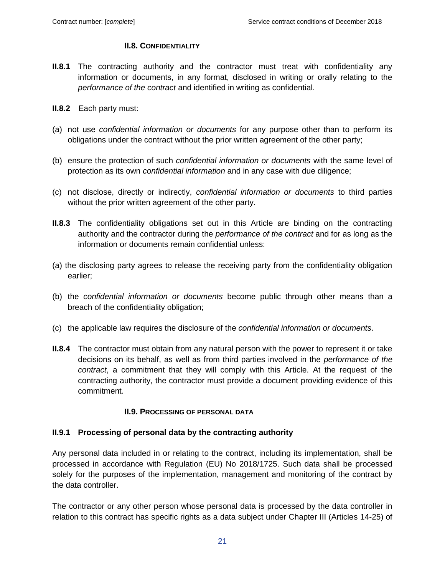#### **II.8. CONFIDENTIALITY**

- <span id="page-20-0"></span>**II.8.1** The contracting authority and the contractor must treat with confidentiality any information or documents, in any format, disclosed in writing or orally relating to the *performance of the contract* and identified in writing as confidential.
- **II.8.2** Each party must:
- (a) not use *confidential information or documents* for any purpose other than to perform its obligations under the contract without the prior written agreement of the other party;
- (b) ensure the protection of such *confidential information or documents* with the same level of protection as its own *confidential information* and in any case with due diligence;
- (c) not disclose, directly or indirectly, *confidential information or documents* to third parties without the prior written agreement of the other party.
- **II.8.3** The confidentiality obligations set out in this Article are binding on the contracting authority and the contractor during the *performance of the contract* and for as long as the information or documents remain confidential unless:
- (a) the disclosing party agrees to release the receiving party from the confidentiality obligation earlier;
- (b) the *confidential information or documents* become public through other means than a breach of the confidentiality obligation;
- (c) the applicable law requires the disclosure of the *confidential information or documents*.
- **II.8.4** The contractor must obtain from any natural person with the power to represent it or take decisions on its behalf, as well as from third parties involved in the *performance of the contract*, a commitment that they will comply with this Article. At the request of the contracting authority, the contractor must provide a document providing evidence of this commitment.

#### **II.9. PROCESSING OF PERSONAL DATA**

#### <span id="page-20-1"></span>**II.9.1 Processing of personal data by the contracting authority**

Any personal data included in or relating to the contract, including its implementation, shall be processed in accordance with Regulation (EU) No 2018/1725. Such data shall be processed solely for the purposes of the implementation, management and monitoring of the contract by the data controller.

The contractor or any other person whose personal data is processed by the data controller in relation to this contract has specific rights as a data subject under Chapter III (Articles 14-25) of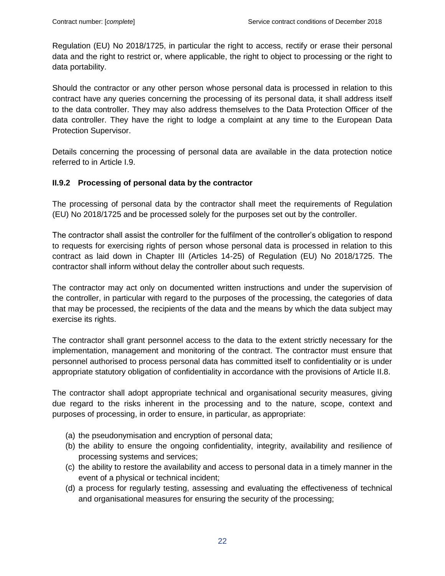Regulation (EU) No 2018/1725, in particular the right to access, rectify or erase their personal data and the right to restrict or, where applicable, the right to object to processing or the right to data portability.

Should the contractor or any other person whose personal data is processed in relation to this contract have any queries concerning the processing of its personal data, it shall address itself to the data controller. They may also address themselves to the Data Protection Officer of the data controller. They have the right to lodge a complaint at any time to the European Data Protection Supervisor.

Details concerning the processing of personal data are available in the data protection notice referred to in Article I.9.

# **II.9.2 Processing of personal data by the contractor**

The processing of personal data by the contractor shall meet the requirements of Regulation (EU) No 2018/1725 and be processed solely for the purposes set out by the controller.

The contractor shall assist the controller for the fulfilment of the controller's obligation to respond to requests for exercising rights of person whose personal data is processed in relation to this contract as laid down in Chapter III (Articles 14-25) of Regulation (EU) No 2018/1725. The contractor shall inform without delay the controller about such requests.

The contractor may act only on documented written instructions and under the supervision of the controller, in particular with regard to the purposes of the processing, the categories of data that may be processed, the recipients of the data and the means by which the data subject may exercise its rights.

The contractor shall grant personnel access to the data to the extent strictly necessary for the implementation, management and monitoring of the contract. The contractor must ensure that personnel authorised to process personal data has committed itself to confidentiality or is under appropriate statutory obligation of confidentiality in accordance with the provisions of Article II.8.

The contractor shall adopt appropriate technical and organisational security measures, giving due regard to the risks inherent in the processing and to the nature, scope, context and purposes of processing, in order to ensure, in particular, as appropriate:

- (a) the pseudonymisation and encryption of personal data;
- (b) the ability to ensure the ongoing confidentiality, integrity, availability and resilience of processing systems and services;
- (c) the ability to restore the availability and access to personal data in a timely manner in the event of a physical or technical incident;
- (d) a process for regularly testing, assessing and evaluating the effectiveness of technical and organisational measures for ensuring the security of the processing;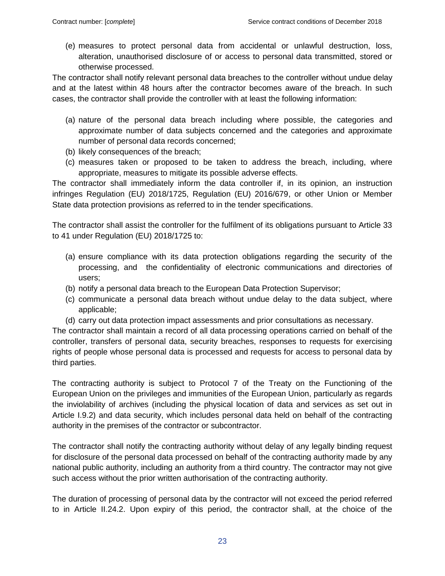(e) measures to protect personal data from accidental or unlawful destruction, loss, alteration, unauthorised disclosure of or access to personal data transmitted, stored or otherwise processed.

The contractor shall notify relevant personal data breaches to the controller without undue delay and at the latest within 48 hours after the contractor becomes aware of the breach. In such cases, the contractor shall provide the controller with at least the following information:

- (a) nature of the personal data breach including where possible, the categories and approximate number of data subjects concerned and the categories and approximate number of personal data records concerned;
- (b) likely consequences of the breach;
- (c) measures taken or proposed to be taken to address the breach, including, where appropriate, measures to mitigate its possible adverse effects.

The contractor shall immediately inform the data controller if, in its opinion, an instruction infringes Regulation (EU) 2018/1725, Regulation (EU) 2016/679, or other Union or Member State data protection provisions as referred to in the tender specifications.

The contractor shall assist the controller for the fulfilment of its obligations pursuant to Article 33 to 41 under Regulation (EU) 2018/1725 to:

- (a) ensure compliance with its data protection obligations regarding the security of the processing, and the confidentiality of electronic communications and directories of users;
- (b) notify a personal data breach to the European Data Protection Supervisor;
- (c) communicate a personal data breach without undue delay to the data subject, where applicable;
- (d) carry out data protection impact assessments and prior consultations as necessary.

The contractor shall maintain a record of all data processing operations carried on behalf of the controller, transfers of personal data, security breaches, responses to requests for exercising rights of people whose personal data is processed and requests for access to personal data by third parties.

The contracting authority is subject to Protocol 7 of the Treaty on the Functioning of the European Union on the privileges and immunities of the European Union, particularly as regards the inviolability of archives (including the physical location of data and services as set out in Article I.9.2) and data security, which includes personal data held on behalf of the contracting authority in the premises of the contractor or subcontractor.

The contractor shall notify the contracting authority without delay of any legally binding request for disclosure of the personal data processed on behalf of the contracting authority made by any national public authority, including an authority from a third country. The contractor may not give such access without the prior written authorisation of the contracting authority.

The duration of processing of personal data by the contractor will not exceed the period referred to in Article II.24.2. Upon expiry of this period, the contractor shall, at the choice of the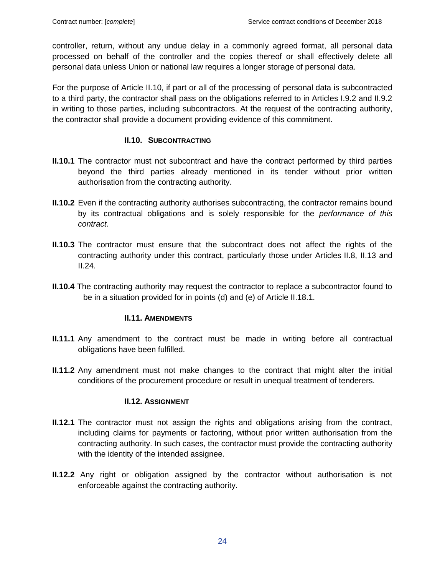controller, return, without any undue delay in a commonly agreed format, all personal data processed on behalf of the controller and the copies thereof or shall effectively delete all personal data unless Union or national law requires a longer storage of personal data.

For the purpose of Article II.10, if part or all of the processing of personal data is subcontracted to a third party, the contractor shall pass on the obligations referred to in Articles I.9.2 and II.9.2 in writing to those parties, including subcontractors. At the request of the contracting authority, the contractor shall provide a document providing evidence of this commitment.

## <span id="page-23-0"></span>**II.10. SUBCONTRACTING**

- **II.10.1** The contractor must not subcontract and have the contract performed by third parties beyond the third parties already mentioned in its tender without prior written authorisation from the contracting authority.
- **II.10.2** Even if the contracting authority authorises subcontracting, the contractor remains bound by its contractual obligations and is solely responsible for the *performance of this contract*.
- **II.10.3** The contractor must ensure that the subcontract does not affect the rights of the contracting authority under this contract, particularly those under Articles II.8, II.13 and II.24.
- **II.10.4** The contracting authority may request the contractor to replace a subcontractor found to be in a situation provided for in points (d) and (e) of Article II.18.1.

#### **II.11. AMENDMENTS**

- <span id="page-23-1"></span>**II.11.1** Any amendment to the contract must be made in writing before all contractual obligations have been fulfilled.
- **II.11.2** Any amendment must not make changes to the contract that might alter the initial conditions of the procurement procedure or result in unequal treatment of tenderers.

#### **II.12. ASSIGNMENT**

- <span id="page-23-2"></span>**II.12.1** The contractor must not assign the rights and obligations arising from the contract, including claims for payments or factoring, without prior written authorisation from the contracting authority. In such cases, the contractor must provide the contracting authority with the identity of the intended assignee.
- **II.12.2** Any right or obligation assigned by the contractor without authorisation is not enforceable against the contracting authority.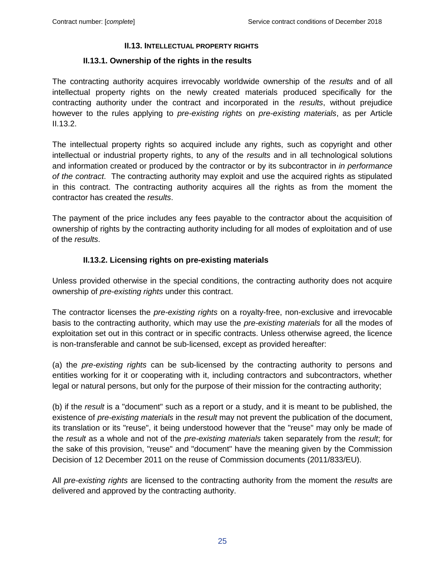#### **II.13. INTELLECTUAL PROPERTY RIGHTS**

#### **II.13.1. Ownership of the rights in the results**

<span id="page-24-0"></span>The contracting authority acquires irrevocably worldwide ownership of the *results* and of all intellectual property rights on the newly created materials produced specifically for the contracting authority under the contract and incorporated in the *results*, without prejudice however to the rules applying to *pre-existing rights* on *pre-existing materials*, as per Article II.13.2.

The intellectual property rights so acquired include any rights, such as copyright and other intellectual or industrial property rights, to any of the *results* and in all technological solutions and information created or produced by the contractor or by its subcontractor in *in performance of the contract*. The contracting authority may exploit and use the acquired rights as stipulated in this contract. The contracting authority acquires all the rights as from the moment the contractor has created the *results*.

The payment of the price includes any fees payable to the contractor about the acquisition of ownership of rights by the contracting authority including for all modes of exploitation and of use of the *results*.

#### **II.13.2. Licensing rights on pre-existing materials**

Unless provided otherwise in the special conditions, the contracting authority does not acquire ownership of *pre-existing rights* under this contract.

The contractor licenses the *pre-existing rights* on a royalty-free, non-exclusive and irrevocable basis to the contracting authority, which may use the *pre-existing materials* for all the modes of exploitation set out in this contract or in specific contracts. Unless otherwise agreed, the licence is non-transferable and cannot be sub-licensed, except as provided hereafter:

(a) the *pre-existing rights* can be sub-licensed by the contracting authority to persons and entities working for it or cooperating with it, including contractors and subcontractors, whether legal or natural persons, but only for the purpose of their mission for the contracting authority;

(b) if the *result* is a "document" such as a report or a study, and it is meant to be published, the existence of *pre-existing materials* in the *result* may not prevent the publication of the document, its translation or its "reuse", it being understood however that the "reuse" may only be made of the *result* as a whole and not of the *pre-existing materials* taken separately from the *result*; for the sake of this provision, "reuse" and "document" have the meaning given by the Commission Decision of 12 December 2011 on the reuse of Commission documents (2011/833/EU).

All *pre-existing rights* are licensed to the contracting authority from the moment the *results* are delivered and approved by the contracting authority.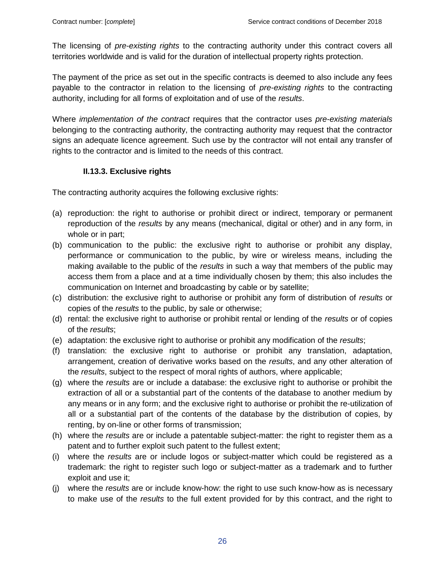The licensing of *pre-existing rights* to the contracting authority under this contract covers all territories worldwide and is valid for the duration of intellectual property rights protection.

The payment of the price as set out in the specific contracts is deemed to also include any fees payable to the contractor in relation to the licensing of *pre-existing rights* to the contracting authority, including for all forms of exploitation and of use of the *results*.

Where *implementation of the contract* requires that the contractor uses *pre-existing materials* belonging to the contracting authority, the contracting authority may request that the contractor signs an adequate licence agreement. Such use by the contractor will not entail any transfer of rights to the contractor and is limited to the needs of this contract.

# **II.13.3. Exclusive rights**

The contracting authority acquires the following exclusive rights:

- (a) reproduction: the right to authorise or prohibit direct or indirect, temporary or permanent reproduction of the *results* by any means (mechanical, digital or other) and in any form, in whole or in part;
- (b) communication to the public: the exclusive right to authorise or prohibit any display, performance or communication to the public, by wire or wireless means, including the making available to the public of the *results* in such a way that members of the public may access them from a place and at a time individually chosen by them; this also includes the communication on Internet and broadcasting by cable or by satellite;
- (c) distribution: the exclusive right to authorise or prohibit any form of distribution of *results* or copies of the *results* to the public, by sale or otherwise;
- (d) rental: the exclusive right to authorise or prohibit rental or lending of the *results* or of copies of the *results*;
- (e) adaptation: the exclusive right to authorise or prohibit any modification of the *results*;
- (f) translation: the exclusive right to authorise or prohibit any translation, adaptation, arrangement, creation of derivative works based on the *results*, and any other alteration of the *results*, subject to the respect of moral rights of authors, where applicable;
- (g) where the *results* are or include a database: the exclusive right to authorise or prohibit the extraction of all or a substantial part of the contents of the database to another medium by any means or in any form; and the exclusive right to authorise or prohibit the re-utilization of all or a substantial part of the contents of the database by the distribution of copies, by renting, by on-line or other forms of transmission;
- (h) where the *results* are or include a patentable subject-matter: the right to register them as a patent and to further exploit such patent to the fullest extent;
- (i) where the *results* are or include logos or subject-matter which could be registered as a trademark: the right to register such logo or subject-matter as a trademark and to further exploit and use it;
- (j) where the *results* are or include know-how: the right to use such know-how as is necessary to make use of the *results* to the full extent provided for by this contract, and the right to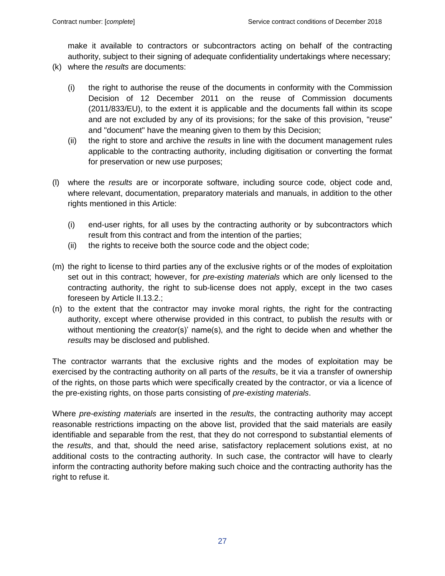make it available to contractors or subcontractors acting on behalf of the contracting authority, subject to their signing of adequate confidentiality undertakings where necessary;

- (k) where the *results* are documents:
	- (i) the right to authorise the reuse of the documents in conformity with the Commission Decision of 12 December 2011 on the reuse of Commission documents (2011/833/EU), to the extent it is applicable and the documents fall within its scope and are not excluded by any of its provisions; for the sake of this provision, "reuse" and "document" have the meaning given to them by this Decision;
	- (ii) the right to store and archive the *results* in line with the document management rules applicable to the contracting authority, including digitisation or converting the format for preservation or new use purposes;
- (l) where the *results* are or incorporate software, including source code, object code and, where relevant, documentation, preparatory materials and manuals, in addition to the other rights mentioned in this Article:
	- (i) end-user rights, for all uses by the contracting authority or by subcontractors which result from this contract and from the intention of the parties;
	- (ii) the rights to receive both the source code and the object code;
- (m) the right to license to third parties any of the exclusive rights or of the modes of exploitation set out in this contract; however, for *pre-existing materials* which are only licensed to the contracting authority, the right to sub-license does not apply, except in the two cases foreseen by Article II.13.2.;
- (n) to the extent that the contractor may invoke moral rights, the right for the contracting authority, except where otherwise provided in this contract, to publish the *results* with or without mentioning the *creator*(s)' name(s), and the right to decide when and whether the *results* may be disclosed and published.

The contractor warrants that the exclusive rights and the modes of exploitation may be exercised by the contracting authority on all parts of the *results*, be it via a transfer of ownership of the rights, on those parts which were specifically created by the contractor, or via a licence of the pre-existing rights, on those parts consisting of *pre-existing materials*.

Where *pre-existing materials* are inserted in the *results*, the contracting authority may accept reasonable restrictions impacting on the above list, provided that the said materials are easily identifiable and separable from the rest, that they do not correspond to substantial elements of the *results*, and that, should the need arise, satisfactory replacement solutions exist, at no additional costs to the contracting authority. In such case, the contractor will have to clearly inform the contracting authority before making such choice and the contracting authority has the right to refuse it.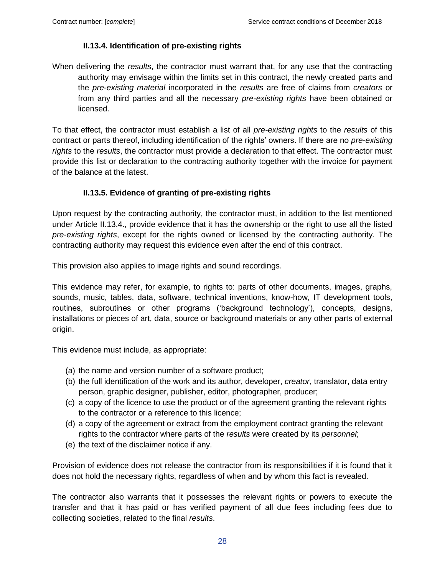### **II.13.4. Identification of pre-existing rights**

When delivering the *results*, the contractor must warrant that, for any use that the contracting authority may envisage within the limits set in this contract, the newly created parts and the *pre-existing material* incorporated in the *results* are free of claims from *creators* or from any third parties and all the necessary *pre-existing rights* have been obtained or licensed.

To that effect, the contractor must establish a list of all *pre-existing rights* to the *results* of this contract or parts thereof, including identification of the rights' owners. If there are no *pre-existing rights* to the *results*, the contractor must provide a declaration to that effect. The contractor must provide this list or declaration to the contracting authority together with the invoice for payment of the balance at the latest.

## **II.13.5. Evidence of granting of pre-existing rights**

Upon request by the contracting authority, the contractor must, in addition to the list mentioned under Article II.13.4., provide evidence that it has the ownership or the right to use all the listed *pre-existing rights*, except for the rights owned or licensed by the contracting authority. The contracting authority may request this evidence even after the end of this contract.

This provision also applies to image rights and sound recordings.

This evidence may refer, for example, to rights to: parts of other documents, images, graphs, sounds, music, tables, data, software, technical inventions, know-how, IT development tools, routines, subroutines or other programs ('background technology'), concepts, designs, installations or pieces of art, data, source or background materials or any other parts of external origin.

This evidence must include, as appropriate:

- (a) the name and version number of a software product;
- (b) the full identification of the work and its author, developer, *creator*, translator, data entry person, graphic designer, publisher, editor, photographer, producer;
- (c) a copy of the licence to use the product or of the agreement granting the relevant rights to the contractor or a reference to this licence;
- (d) a copy of the agreement or extract from the employment contract granting the relevant rights to the contractor where parts of the *results* were created by its *personnel*;
- (e) the text of the disclaimer notice if any.

Provision of evidence does not release the contractor from its responsibilities if it is found that it does not hold the necessary rights, regardless of when and by whom this fact is revealed.

The contractor also warrants that it possesses the relevant rights or powers to execute the transfer and that it has paid or has verified payment of all due fees including fees due to collecting societies, related to the final *results*.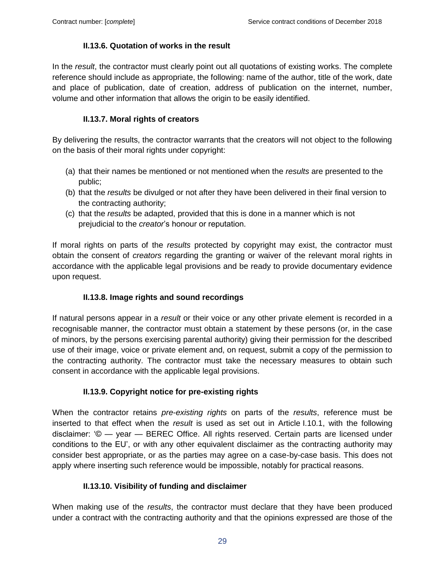# **II.13.6. Quotation of works in the result**

In the *result*, the contractor must clearly point out all quotations of existing works. The complete reference should include as appropriate, the following: name of the author, title of the work, date and place of publication, date of creation, address of publication on the internet, number, volume and other information that allows the origin to be easily identified.

# **II.13.7. Moral rights of creators**

By delivering the results, the contractor warrants that the creators will not object to the following on the basis of their moral rights under copyright:

- (a) that their names be mentioned or not mentioned when the *results* are presented to the public;
- (b) that the *results* be divulged or not after they have been delivered in their final version to the contracting authority;
- (c) that the *results* be adapted, provided that this is done in a manner which is not prejudicial to the *creator*'s honour or reputation.

If moral rights on parts of the *results* protected by copyright may exist, the contractor must obtain the consent of *creators* regarding the granting or waiver of the relevant moral rights in accordance with the applicable legal provisions and be ready to provide documentary evidence upon request.

# **II.13.8. Image rights and sound recordings**

If natural persons appear in a *result* or their voice or any other private element is recorded in a recognisable manner, the contractor must obtain a statement by these persons (or, in the case of minors, by the persons exercising parental authority) giving their permission for the described use of their image, voice or private element and, on request, submit a copy of the permission to the contracting authority. The contractor must take the necessary measures to obtain such consent in accordance with the applicable legal provisions.

# **II.13.9. Copyright notice for pre-existing rights**

When the contractor retains *pre-existing rights* on parts of the *results*, reference must be inserted to that effect when the *result* is used as set out in Article I.10.1, with the following disclaimer: '© — year — BEREC Office. All rights reserved. Certain parts are licensed under conditions to the EU', or with any other equivalent disclaimer as the contracting authority may consider best appropriate, or as the parties may agree on a case-by-case basis. This does not apply where inserting such reference would be impossible, notably for practical reasons.

# **II.13.10. Visibility of funding and disclaimer**

When making use of the *results*, the contractor must declare that they have been produced under a contract with the contracting authority and that the opinions expressed are those of the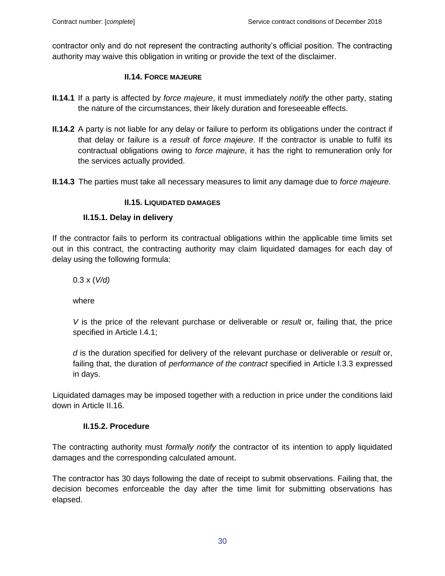contractor only and do not represent the contracting authority's official position. The contracting authority may waive this obligation in writing or provide the text of the disclaimer.

### **II.14. FORCE MAJEURE**

- <span id="page-29-0"></span>**II.14.1** If a party is affected by *force majeure*, it must immediately *notify* the other party, stating the nature of the circumstances, their likely duration and foreseeable effects.
- **II.14.2** A party is not liable for any delay or failure to perform its obligations under the contract if that delay or failure is a *result* of *force majeure*. If the contractor is unable to fulfil its contractual obligations owing to *force majeure*, it has the right to remuneration only for the services actually provided.
- <span id="page-29-1"></span>**II.14.3** The parties must take all necessary measures to limit any damage due to *force majeure.*

## **II.15. LIQUIDATED DAMAGES**

## **II.15.1. Delay in delivery**

If the contractor fails to perform its contractual obligations within the applicable time limits set out in this contract, the contracting authority may claim liquidated damages for each day of delay using the following formula:

0.3 x (*V/d)*

where

*V* is the price of the relevant purchase or deliverable or *result* or, failing that, the price specified in Article I.4.1;

*d* is the duration specified for delivery of the relevant purchase or deliverable or *result* or, failing that, the duration of *performance of the contract* specified in Article I.3.3 expressed in days.

Liquidated damages may be imposed together with a reduction in price under the conditions laid down in Article II.16.

# **II.15.2. Procedure**

The contracting authority must *formally notify* the contractor of its intention to apply liquidated damages and the corresponding calculated amount.

The contractor has 30 days following the date of receipt to submit observations. Failing that, the decision becomes enforceable the day after the time limit for submitting observations has elapsed.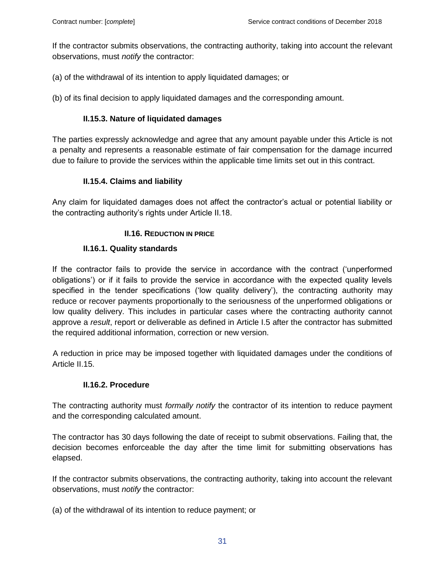If the contractor submits observations, the contracting authority, taking into account the relevant observations, must *notify* the contractor:

(a) of the withdrawal of its intention to apply liquidated damages; or

(b) of its final decision to apply liquidated damages and the corresponding amount.

### **II.15.3. Nature of liquidated damages**

The parties expressly acknowledge and agree that any amount payable under this Article is not a penalty and represents a reasonable estimate of fair compensation for the damage incurred due to failure to provide the services within the applicable time limits set out in this contract.

## **II.15.4. Claims and liability**

<span id="page-30-0"></span>Any claim for liquidated damages does not affect the contractor's actual or potential liability or the contracting authority's rights under Article II.18.

#### **II.16. REDUCTION IN PRICE**

## **II.16.1. Quality standards**

If the contractor fails to provide the service in accordance with the contract ('unperformed obligations') or if it fails to provide the service in accordance with the expected quality levels specified in the tender specifications ('low quality delivery'), the contracting authority may reduce or recover payments proportionally to the seriousness of the unperformed obligations or low quality delivery. This includes in particular cases where the contracting authority cannot approve a *result*, report or deliverable as defined in Article I.5 after the contractor has submitted the required additional information, correction or new version.

A reduction in price may be imposed together with liquidated damages under the conditions of Article II.15.

#### **II.16.2. Procedure**

The contracting authority must *formally notify* the contractor of its intention to reduce payment and the corresponding calculated amount.

The contractor has 30 days following the date of receipt to submit observations. Failing that, the decision becomes enforceable the day after the time limit for submitting observations has elapsed.

If the contractor submits observations, the contracting authority, taking into account the relevant observations, must *notify* the contractor:

(a) of the withdrawal of its intention to reduce payment; or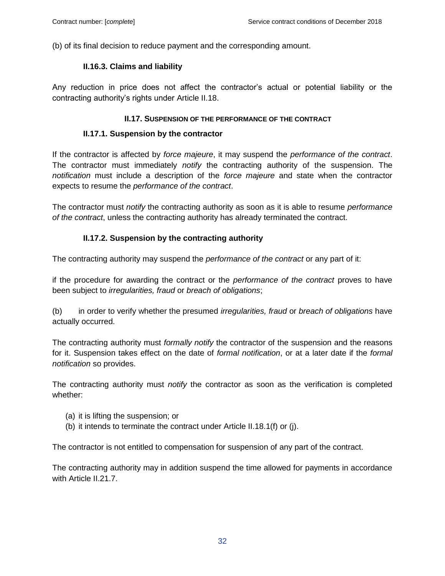(b) of its final decision to reduce payment and the corresponding amount.

### **II.16.3. Claims and liability**

<span id="page-31-0"></span>Any reduction in price does not affect the contractor's actual or potential liability or the contracting authority's rights under Article II.18.

#### **II.17. SUSPENSION OF THE PERFORMANCE OF THE CONTRACT**

#### **II.17.1. Suspension by the contractor**

If the contractor is affected by *force majeure*, it may suspend the *performance of the contract*. The contractor must immediately *notify* the contracting authority of the suspension. The *notification* must include a description of the *force majeure* and state when the contractor expects to resume the *performance of the contract*.

The contractor must *notify* the contracting authority as soon as it is able to resume *performance of the contract*, unless the contracting authority has already terminated the contract.

## **II.17.2. Suspension by the contracting authority**

The contracting authority may suspend the *performance of the contract* or any part of it:

if the procedure for awarding the contract or the *performance of the contract* proves to have been subject to *irregularities, fraud* or *breach of obligations*;

(b) in order to verify whether the presumed *irregularities, fraud* or *breach of obligations* have actually occurred.

The contracting authority must *formally notify* the contractor of the suspension and the reasons for it. Suspension takes effect on the date of *formal notification*, or at a later date if the *formal notification* so provides.

The contracting authority must *notify* the contractor as soon as the verification is completed whether:

- (a) it is lifting the suspension; or
- (b) it intends to terminate the contract under Article II.18.1(f) or (j).

The contractor is not entitled to compensation for suspension of any part of the contract.

The contracting authority may in addition suspend the time allowed for payments in accordance with Article II.21.7.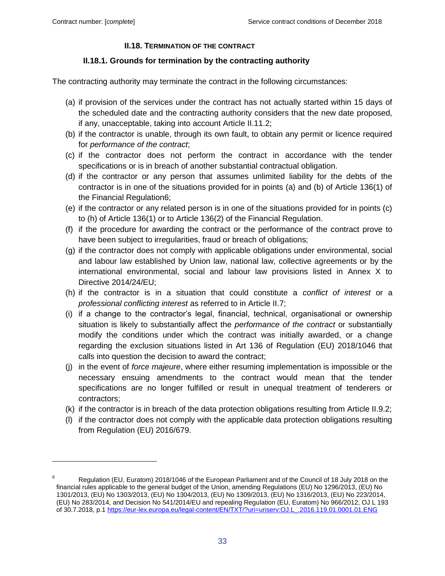$\overline{a}$ 

#### **II.18. TERMINATION OF THE CONTRACT**

#### <span id="page-32-0"></span>**II.18.1. Grounds for termination by the contracting authority**

The contracting authority may terminate the contract in the following circumstances:

- (a) if provision of the services under the contract has not actually started within 15 days of the scheduled date and the contracting authority considers that the new date proposed, if any, unacceptable, taking into account Article II.11.2;
- (b) if the contractor is unable, through its own fault, to obtain any permit or licence required for *performance of the contract*;
- (c) if the contractor does not perform the contract in accordance with the tender specifications or is in breach of another substantial contractual obligation.
- (d) if the contractor or any person that assumes unlimited liability for the debts of the contractor is in one of the situations provided for in points (a) and (b) of Article 136(1) of the Financial Regulation6;
- (e) if the contractor or any related person is in one of the situations provided for in points (c) to (h) of Article 136(1) or to Article 136(2) of the Financial Regulation.
- (f) if the procedure for awarding the contract or the performance of the contract prove to have been subject to irregularities, fraud or breach of obligations;
- (g) if the contractor does not comply with applicable obligations under environmental, social and labour law established by Union law, national law, collective agreements or by the international environmental, social and labour law provisions listed in Annex X to Directive 2014/24/EU;
- (h) if the contractor is in a situation that could constitute a *conflict of interest* or a *professional conflicting interest* as referred to in Article II.7;
- (i) if a change to the contractor's legal, financial, technical, organisational or ownership situation is likely to substantially affect the *performance of the contract* or substantially modify the conditions under which the contract was initially awarded, or a change regarding the exclusion situations listed in Art 136 of Regulation (EU) 2018/1046 that calls into question the decision to award the contract;
- (j) in the event of *force majeure*, where either resuming implementation is impossible or the necessary ensuing amendments to the contract would mean that the tender specifications are no longer fulfilled or result in unequal treatment of tenderers or contractors;
- (k) if the contractor is in breach of the data protection obligations resulting from Article II.9.2;
- (l) if the contractor does not comply with the applicable data protection obligations resulting from Regulation (EU) 2016/679.

<sup>6</sup> Regulation (EU, Euratom) 2018/1046 of the European Parliament and of the Council of 18 July 2018 on the financial rules applicable to the general budget of the Union, amending Regulations (EU) No 1296/2013, (EU) No 1301/2013, (EU) No 1303/2013, (EU) No 1304/2013, (EU) No 1309/2013, (EU) No 1316/2013, (EU) No 223/2014, (EU) No 283/2014, and Decision No 541/2014/EU and repealing Regulation (EU, Euratom) No 966/2012, OJ L 193 of 30.7.2018, p.[1 https://eur-lex.europa.eu/legal-content/EN/TXT/?uri=uriserv:OJ.L\\_.2016.119.01.0001.01.ENG](https://eur-lex.europa.eu/legal-content/EN/TXT/?uri=uriserv:OJ.L_.2016.119.01.0001.01.ENG)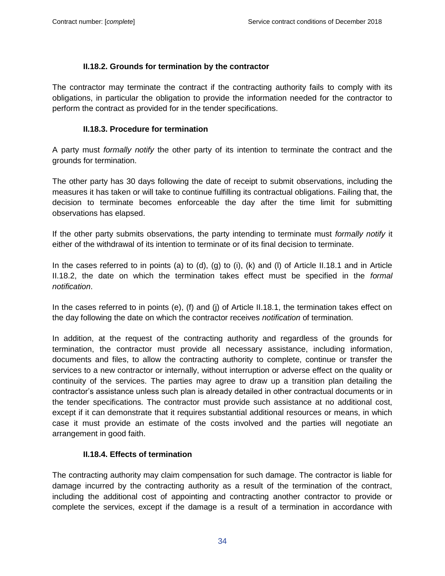#### **II.18.2. Grounds for termination by the contractor**

The contractor may terminate the contract if the contracting authority fails to comply with its obligations, in particular the obligation to provide the information needed for the contractor to perform the contract as provided for in the tender specifications.

#### **II.18.3. Procedure for termination**

A party must *formally notify* the other party of its intention to terminate the contract and the grounds for termination.

The other party has 30 days following the date of receipt to submit observations, including the measures it has taken or will take to continue fulfilling its contractual obligations. Failing that, the decision to terminate becomes enforceable the day after the time limit for submitting observations has elapsed.

If the other party submits observations, the party intending to terminate must *formally notify* it either of the withdrawal of its intention to terminate or of its final decision to terminate.

In the cases referred to in points (a) to (d), (g) to (i), (k) and (l) of Article II.18.1 and in Article II.18.2, the date on which the termination takes effect must be specified in the *formal notification*.

In the cases referred to in points (e), (f) and (j) of Article II.18.1, the termination takes effect on the day following the date on which the contractor receives *notification* of termination.

In addition, at the request of the contracting authority and regardless of the grounds for termination, the contractor must provide all necessary assistance, including information, documents and files, to allow the contracting authority to complete, continue or transfer the services to a new contractor or internally, without interruption or adverse effect on the quality or continuity of the services. The parties may agree to draw up a transition plan detailing the contractor's assistance unless such plan is already detailed in other contractual documents or in the tender specifications. The contractor must provide such assistance at no additional cost, except if it can demonstrate that it requires substantial additional resources or means, in which case it must provide an estimate of the costs involved and the parties will negotiate an arrangement in good faith.

#### **II.18.4. Effects of termination**

The contracting authority may claim compensation for such damage. The contractor is liable for damage incurred by the contracting authority as a result of the termination of the contract, including the additional cost of appointing and contracting another contractor to provide or complete the services, except if the damage is a result of a termination in accordance with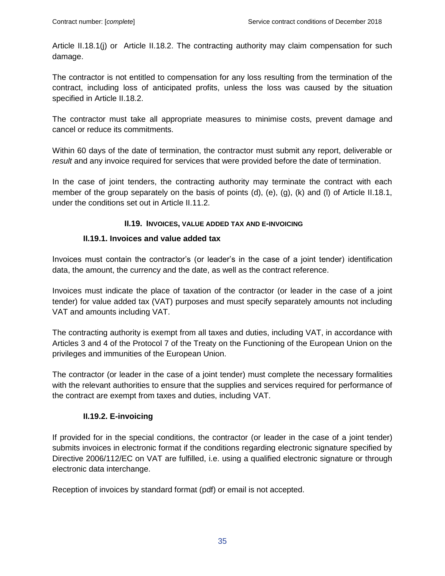Article II.18.1(j) or Article II.18.2. The contracting authority may claim compensation for such damage.

The contractor is not entitled to compensation for any loss resulting from the termination of the contract, including loss of anticipated profits, unless the loss was caused by the situation specified in Article II.18.2.

The contractor must take all appropriate measures to minimise costs, prevent damage and cancel or reduce its commitments.

Within 60 days of the date of termination, the contractor must submit any report, deliverable or *result* and any invoice required for services that were provided before the date of termination.

In the case of joint tenders, the contracting authority may terminate the contract with each member of the group separately on the basis of points (d), (e), (g), (k) and (l) of Article II.18.1, under the conditions set out in Article II.11.2.

## <span id="page-34-0"></span>**II.19. INVOICES, VALUE ADDED TAX AND E-INVOICING**

## **II.19.1. Invoices and value added tax**

Invoices must contain the contractor's (or leader's in the case of a joint tender) identification data, the amount, the currency and the date, as well as the contract reference.

Invoices must indicate the place of taxation of the contractor (or leader in the case of a joint tender) for value added tax (VAT) purposes and must specify separately amounts not including VAT and amounts including VAT.

The contracting authority is exempt from all taxes and duties, including VAT, in accordance with Articles 3 and 4 of the Protocol 7 of the Treaty on the Functioning of the European Union on the privileges and immunities of the European Union.

The contractor (or leader in the case of a joint tender) must complete the necessary formalities with the relevant authorities to ensure that the supplies and services required for performance of the contract are exempt from taxes and duties, including VAT.

# **II.19.2. E-invoicing**

If provided for in the special conditions, the contractor (or leader in the case of a joint tender) submits invoices in electronic format if the conditions regarding electronic signature specified by Directive 2006/112/EC on VAT are fulfilled, i.e. using a qualified electronic signature or through electronic data interchange.

Reception of invoices by standard format (pdf) or email is not accepted.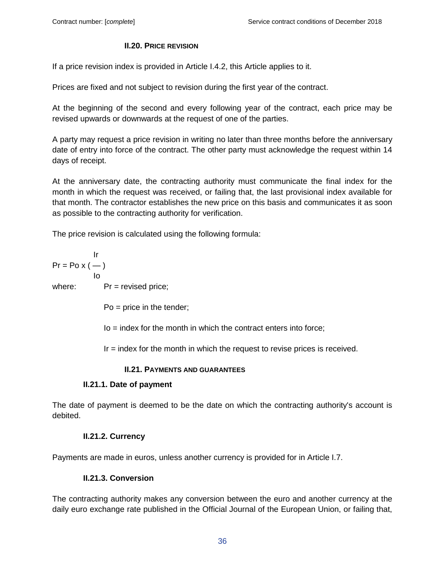#### **II.20. PRICE REVISION**

<span id="page-35-0"></span>If a price revision index is provided in Article I.4.2, this Article applies to it.

Prices are fixed and not subject to revision during the first year of the contract.

At the beginning of the second and every following year of the contract, each price may be revised upwards or downwards at the request of one of the parties.

A party may request a price revision in writing no later than three months before the anniversary date of entry into force of the contract. The other party must acknowledge the request within 14 days of receipt.

At the anniversary date, the contracting authority must communicate the final index for the month in which the request was received, or failing that, the last provisional index available for that month. The contractor establishes the new price on this basis and communicates it as soon as possible to the contracting authority for verification.

The price revision is calculated using the following formula:

$$
Pr = Po \times (-)
$$
  
lo  
where: 
$$
Pr = \text{revised price};
$$

 $Po = price$  in the tender;

Io = index for the month in which the contract enters into force;

Ir = index for the month in which the request to revise prices is received.

# **II.21. PAYMENTS AND GUARANTEES**

# **II.21.1. Date of payment**

<span id="page-35-1"></span>The date of payment is deemed to be the date on which the contracting authority's account is debited.

# **II.21.2. Currency**

Payments are made in euros, unless another currency is provided for in Article I.7.

# **II.21.3. Conversion**

The contracting authority makes any conversion between the euro and another currency at the daily euro exchange rate published in the Official Journal of the European Union, or failing that,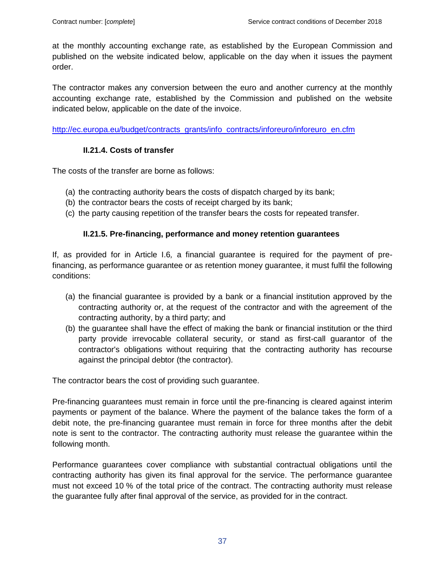at the monthly accounting exchange rate, as established by the European Commission and published on the website indicated below, applicable on the day when it issues the payment order.

The contractor makes any conversion between the euro and another currency at the monthly accounting exchange rate, established by the Commission and published on the website indicated below, applicable on the date of the invoice.

[http://ec.europa.eu/budget/contracts\\_grants/info\\_contracts/inforeuro/inforeuro\\_en.cfm](http://ec.europa.eu/budget/contracts_grants/info_contracts/inforeuro/inforeuro_en.cfm)

# **II.21.4. Costs of transfer**

The costs of the transfer are borne as follows:

- (a) the contracting authority bears the costs of dispatch charged by its bank;
- (b) the contractor bears the costs of receipt charged by its bank;
- (c) the party causing repetition of the transfer bears the costs for repeated transfer.

# **II.21.5. Pre-financing, performance and money retention guarantees**

If, as provided for in Article I.6*,* a financial guarantee is required for the payment of prefinancing, as performance guarantee or as retention money guarantee, it must fulfil the following conditions:

- (a) the financial guarantee is provided by a bank or a financial institution approved by the contracting authority or, at the request of the contractor and with the agreement of the contracting authority, by a third party; and
- (b) the guarantee shall have the effect of making the bank or financial institution or the third party provide irrevocable collateral security, or stand as first-call guarantor of the contractor's obligations without requiring that the contracting authority has recourse against the principal debtor (the contractor).

The contractor bears the cost of providing such guarantee.

Pre-financing guarantees must remain in force until the pre-financing is cleared against interim payments or payment of the balance. Where the payment of the balance takes the form of a debit note, the pre-financing guarantee must remain in force for three months after the debit note is sent to the contractor. The contracting authority must release the guarantee within the following month.

Performance guarantees cover compliance with substantial contractual obligations until the contracting authority has given its final approval for the service. The performance guarantee must not exceed 10 % of the total price of the contract. The contracting authority must release the guarantee fully after final approval of the service, as provided for in the contract.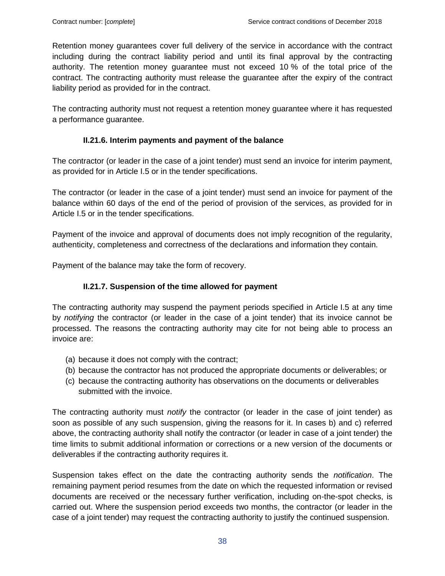Retention money guarantees cover full delivery of the service in accordance with the contract including during the contract liability period and until its final approval by the contracting authority. The retention money guarantee must not exceed 10 % of the total price of the contract. The contracting authority must release the guarantee after the expiry of the contract liability period as provided for in the contract.

The contracting authority must not request a retention money guarantee where it has requested a performance guarantee.

# **II.21.6. Interim payments and payment of the balance**

The contractor (or leader in the case of a joint tender) must send an invoice for interim payment, as provided for in Article I.5 or in the tender specifications.

The contractor (or leader in the case of a joint tender) must send an invoice for payment of the balance within 60 days of the end of the period of provision of the services, as provided for in Article I.5 or in the tender specifications.

Payment of the invoice and approval of documents does not imply recognition of the regularity, authenticity, completeness and correctness of the declarations and information they contain.

Payment of the balance may take the form of recovery.

# **II.21.7. Suspension of the time allowed for payment**

The contracting authority may suspend the payment periods specified in Article I.5 at any time by *notifying* the contractor (or leader in the case of a joint tender) that its invoice cannot be processed. The reasons the contracting authority may cite for not being able to process an invoice are:

- (a) because it does not comply with the contract;
- (b) because the contractor has not produced the appropriate documents or deliverables; or
- (c) because the contracting authority has observations on the documents or deliverables submitted with the invoice.

The contracting authority must *notify* the contractor (or leader in the case of joint tender) as soon as possible of any such suspension, giving the reasons for it. In cases b) and c) referred above, the contracting authority shall notify the contractor (or leader in case of a joint tender) the time limits to submit additional information or corrections or a new version of the documents or deliverables if the contracting authority requires it.

Suspension takes effect on the date the contracting authority sends the *notification*. The remaining payment period resumes from the date on which the requested information or revised documents are received or the necessary further verification, including on-the-spot checks, is carried out. Where the suspension period exceeds two months, the contractor (or leader in the case of a joint tender) may request the contracting authority to justify the continued suspension.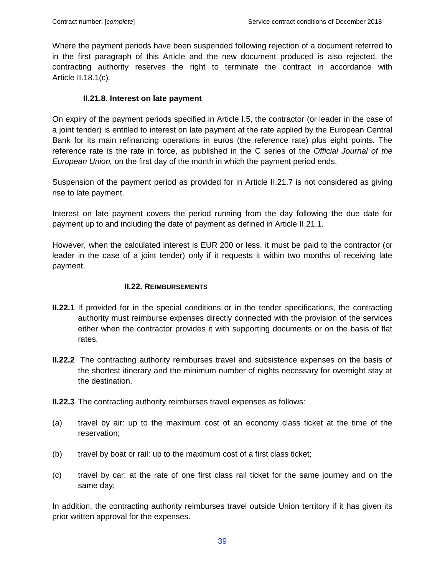Where the payment periods have been suspended following rejection of a document referred to in the first paragraph of this Article and the new document produced is also rejected, the contracting authority reserves the right to terminate the contract in accordance with Article II.18.1(c)*.*

#### **II.21.8. Interest on late payment**

On expiry of the payment periods specified in Article I.5, the contractor (or leader in the case of a joint tender) is entitled to interest on late payment at the rate applied by the European Central Bank for its main refinancing operations in euros (the reference rate) plus eight points. The reference rate is the rate in force, as published in the C series of the *Official Journal of the European Union,* on the first day of the month in which the payment period ends.

Suspension of the payment period as provided for in Article II.21.7 is not considered as giving rise to late payment.

Interest on late payment covers the period running from the day following the due date for payment up to and including the date of payment as defined in Article II.21.1.

However, when the calculated interest is EUR 200 or less, it must be paid to the contractor (or leader in the case of a joint tender) only if it requests it within two months of receiving late payment.

#### **II.22. REIMBURSEMENTS**

- <span id="page-38-0"></span>**II.22.1** If provided for in the special conditions or in the tender specifications, the contracting authority must reimburse expenses directly connected with the provision of the services either when the contractor provides it with supporting documents or on the basis of flat rates.
- **II.22.2** The contracting authority reimburses travel and subsistence expenses on the basis of the shortest itinerary and the minimum number of nights necessary for overnight stay at the destination.
- **II.22.3** The contracting authority reimburses travel expenses as follows:
- (a) travel by air: up to the maximum cost of an economy class ticket at the time of the reservation;
- (b) travel by boat or rail: up to the maximum cost of a first class ticket;
- (c) travel by car: at the rate of one first class rail ticket for the same journey and on the same day;

In addition, the contracting authority reimburses travel outside Union territory if it has given its prior written approval for the expenses.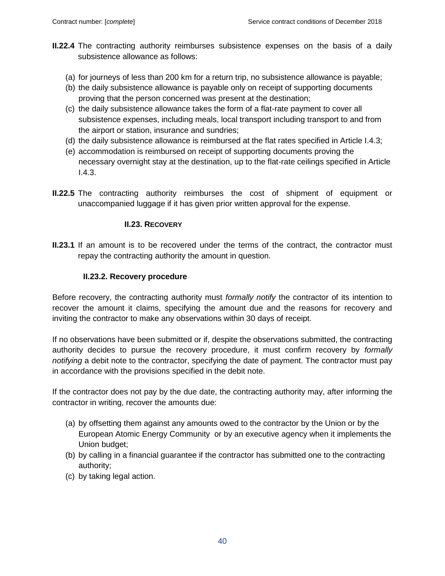- **II.22.4** The contracting authority reimburses subsistence expenses on the basis of a daily subsistence allowance as follows:
	- (a) for journeys of less than 200 km for a return trip, no subsistence allowance is payable;
	- (b) the daily subsistence allowance is payable only on receipt of supporting documents proving that the person concerned was present at the destination;
	- (c) the daily subsistence allowance takes the form of a flat-rate payment to cover all subsistence expenses, including meals, local transport including transport to and from the airport or station, insurance and sundries;
	- (d) the daily subsistence allowance is reimbursed at the flat rates specified in Article I.4.3;
	- (e) accommodation is reimbursed on receipt of supporting documents proving the necessary overnight stay at the destination, up to the flat-rate ceilings specified in Article I.4.3.
- **II.22.5** The contracting authority reimburses the cost of shipment of equipment or unaccompanied luggage if it has given prior written approval for the expense.

## **II.23. RECOVERY**

<span id="page-39-0"></span>**II.23.1** If an amount is to be recovered under the terms of the contract, the contractor must repay the contracting authority the amount in question.

## **II.23.2. Recovery procedure**

Before recovery, the contracting authority must *formally notify* the contractor of its intention to recover the amount it claims, specifying the amount due and the reasons for recovery and inviting the contractor to make any observations within 30 days of receipt.

If no observations have been submitted or if, despite the observations submitted, the contracting authority decides to pursue the recovery procedure, it must confirm recovery by *formally notifying* a debit note to the contractor, specifying the date of payment. The contractor must pay in accordance with the provisions specified in the debit note.

If the contractor does not pay by the due date, the contracting authority may, after informing the contractor in writing, recover the amounts due:

- (a) by offsetting them against any amounts owed to the contractor by the Union or by the European Atomic Energy Community or by an executive agency when it implements the Union budget;
- (b) by calling in a financial guarantee if the contractor has submitted one to the contracting authority;
- (c) by taking legal action.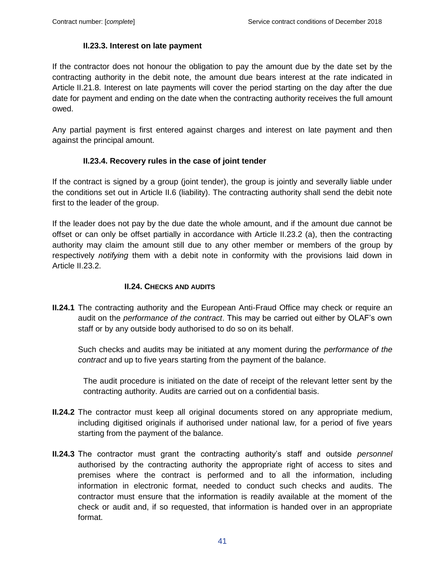#### **II.23.3. Interest on late payment**

If the contractor does not honour the obligation to pay the amount due by the date set by the contracting authority in the debit note, the amount due bears interest at the rate indicated in Article II.21.8. Interest on late payments will cover the period starting on the day after the due date for payment and ending on the date when the contracting authority receives the full amount owed.

Any partial payment is first entered against charges and interest on late payment and then against the principal amount.

#### **II.23.4. Recovery rules in the case of joint tender**

If the contract is signed by a group (joint tender), the group is jointly and severally liable under the conditions set out in Article II.6 (liability). The contracting authority shall send the debit note first to the leader of the group.

If the leader does not pay by the due date the whole amount, and if the amount due cannot be offset or can only be offset partially in accordance with Article II.23.2 (a), then the contracting authority may claim the amount still due to any other member or members of the group by respectively *notifying* them with a debit note in conformity with the provisions laid down in Article II.23.2.

#### **II.24. CHECKS AND AUDITS**

<span id="page-40-0"></span>**II.24.1** The contracting authority and the European Anti-Fraud Office may check or require an audit on the *performance of the contract*. This may be carried out either by OLAF's own staff or by any outside body authorised to do so on its behalf.

Such checks and audits may be initiated at any moment during the *performance of the contract* and up to five years starting from the payment of the balance.

The audit procedure is initiated on the date of receipt of the relevant letter sent by the contracting authority. Audits are carried out on a confidential basis.

- **II.24.2** The contractor must keep all original documents stored on any appropriate medium, including digitised originals if authorised under national law, for a period of five years starting from the payment of the balance.
- **II.24.3** The contractor must grant the contracting authority's staff and outside *personnel* authorised by the contracting authority the appropriate right of access to sites and premises where the contract is performed and to all the information, including information in electronic format, needed to conduct such checks and audits. The contractor must ensure that the information is readily available at the moment of the check or audit and, if so requested, that information is handed over in an appropriate format.